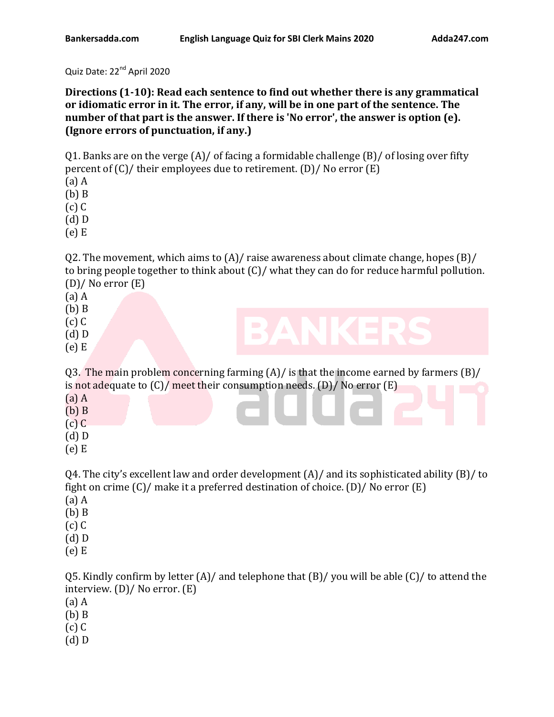Quiz Date: 22<sup>nd</sup> April 2020

**Directions (1-10): Read each sentence to find out whether there is any grammatical or idiomatic error in it. The error, if any, will be in one part of the sentence. The number of that part is the answer. If there is 'No error', the answer is option (e). (Ignore errors of punctuation, if any.)** 

Q1. Banks are on the verge  $(A)/$  of facing a formidable challenge  $(B)/$  of losing over fifty percent of (C)/ their employees due to retirement. (D)/ No error (E)

(a) A

(b) B

(c) C

(d) D

(e) E

Q2. The movement, which aims to (A)/ raise awareness about climate change, hopes (B)/ to bring people together to think about (C)/ what they can do for reduce harmful pollution. (D)/ No error (E)

(a) A

- (b) B
- (c) C
- (d) D
- 

(e) E

Q3. The main problem concerning farming  $(A)/$  is that the income earned by farmers  $(B)/$ is not adequate to (C)/ meet their consumption needs. (D)/ No error (E) (a) A

- (b) B
- (c) C
- (d) D
- (e) E

Q4. The city's excellent law and order development (A)/ and its sophisticated ability (B)/ to fight on crime (C)/ make it a preferred destination of choice. (D)/ No error (E)

- (a) A
- (b) B
- (c) C
- (d) D
- (e) E

Q5. Kindly confirm by letter  $(A)/$  and telephone that  $(B)/$  you will be able  $(C)/$  to attend the interview. (D)/ No error. (E)

- (a) A
- (b) B
- (c) C
- (d) D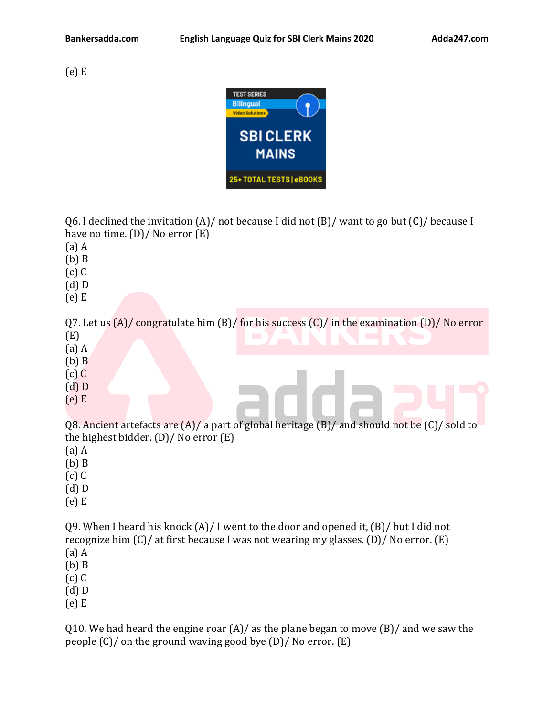(e) E



Q6. I declined the invitation  $(A)/$  not because I did not  $(B)/$  want to go but  $(C)/$  because I have no time. (D)/ No error (E)

(a) A

(b) B

(c) C

(d) D

(e) E

Q7. Let us  $(A)/$  congratulate him  $(B)/$  for his success  $(C)/$  in the examination  $(D)/$  No error

- (E)
- (a) A
- (b) B
- (c) C
- (d) D
- (e) E

Q8. Ancient artefacts are (A)/ a part of global heritage (B)/ and should not be (C)/ sold to the highest bidder. (D)/ No error (E)

(a) A

(b) B

(c) C

- (d) D
- (e) E

Q9. When I heard his knock  $(A)/I$  went to the door and opened it,  $(B)/I$  but I did not recognize him (C)/ at first because I was not wearing my glasses. (D)/ No error. (E) (a) A

(b) B

- (c) C
- (d) D

(e) E

Q10. We had heard the engine roar  $(A)/a$ s the plane began to move  $(B)/a$ nd we saw the people (C)/ on the ground waving good bye (D)/ No error. (E)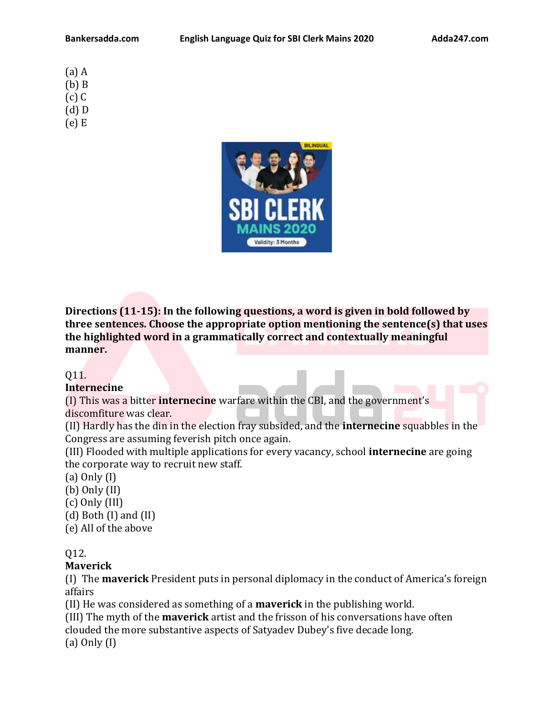(a) A (b) B (c) C (d) D (e) E



**Directions (11-15): In the following questions, a word is given in bold followed by three sentences. Choose the appropriate option mentioning the sentence(s) that uses the highlighted word in a grammatically correct and contextually meaningful manner.**

### Q11.

### **Internecine**

(I) This was a bitter **internecine** warfare within the CBI, and the government's discomfiture was clear.

(II) Hardly has the din in the election fray subsided, and the **internecine** squabbles in the Congress are assuming feverish pitch once again.

(III) Flooded with multiple applications for every vacancy, school **internecine** are going the corporate way to recruit new staff.

(a) Only (I)

(b) Only (II)

(c) Only (III)

- (d) Both (I) and (II)
- (e) All of the above

Q12.

**Maverick**

(I) The **maverick** President puts in personal diplomacy in the conduct of America's foreign affairs

(II) He was considered as something of a **maverick** in the publishing world.

(III) The myth of the **maverick** artist and the frisson of his conversations have often

clouded the more substantive aspects of Satyadev Dubey's five decade long.

(a) Only (I)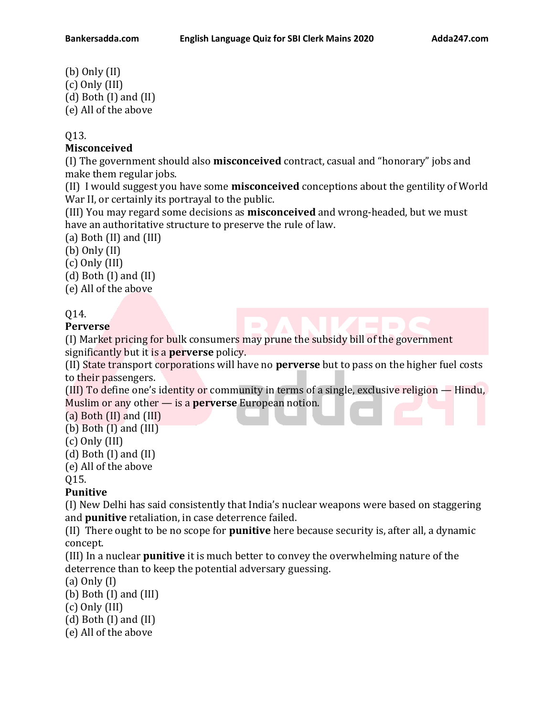(b) Only (II) (c) Only (III) (d) Both (I) and (II) (e) All of the above

### Q13.

## **Misconceived**

(I) The government should also **misconceived** contract, casual and "honorary" jobs and make them regular jobs.

(II) I would suggest you have some **misconceived** conceptions about the gentility of World War II, or certainly its portrayal to the public.

(III) You may regard some decisions as **misconceived** and wrong-headed, but we must have an authoritative structure to preserve the rule of law.

(a) Both (II) and (III)

(b) Only (II)

(c) Only (III)

(d) Both (I) and (II)

(e) All of the above

# Q14.

**Perverse**

(I) Market pricing for bulk consumers may prune the subsidy bill of the government significantly but it is a **perverse** policy.

(II) State transport corporations will have no **perverse** but to pass on the higher fuel costs to their passengers.

(III) To define one's identity or community in terms of a single, exclusive religion — Hindu, Muslim or any other — is a **perverse** European notion.

(a) Both (II) and (III)

(b) Both (I) and (III)

- (c) Only (III)
- (d) Both (I) and (II)
- (e) All of the above

Q15.

# **Punitive**

(I) New Delhi has said consistently that India's nuclear weapons were based on staggering and **punitive** retaliation, in case deterrence failed.

(II) There ought to be no scope for **punitive** here because security is, after all, a dynamic concept.

(III) In a nuclear **punitive** it is much better to convey the overwhelming nature of the deterrence than to keep the potential adversary guessing.

(a) Only (I)

(b) Both (I) and (III)

(c) Only (III)

(d) Both (I) and (II)

(e) All of the above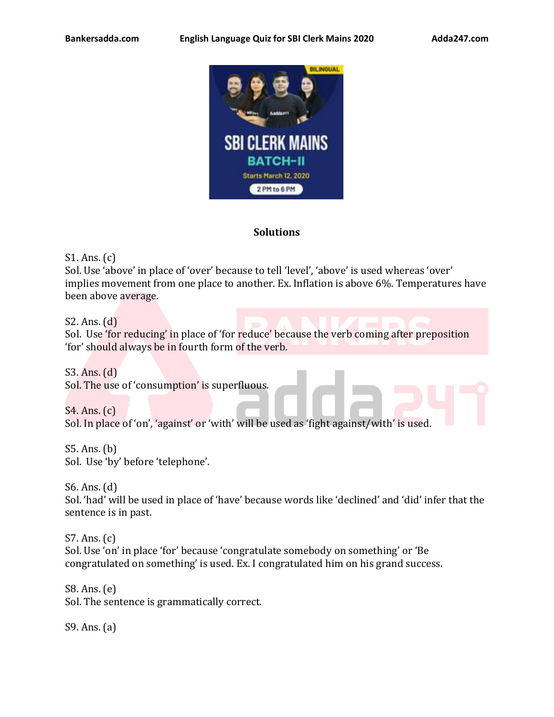

### **Solutions**

S1. Ans. (c)

Sol. Use 'above' in place of 'over' because to tell 'level', 'above' is used whereas 'over' implies movement from one place to another. Ex. Inflation is above 6%. Temperatures have been above average.

S2. Ans. (d)

Sol. Use 'for reducing' in place of 'for reduce' because the verb coming after preposition 'for' should always be in fourth form of the verb.

S3. Ans. (d) Sol. The use of 'consumption' is superfluous.

S4. Ans. (c) Sol. In place of 'on', 'against' or 'with' will be used as 'fight against/with' is used.

S5. Ans. (b) Sol. Use 'by' before 'telephone'.

S6. Ans. (d) Sol. 'had' will be used in place of 'have' because words like 'declined' and 'did' infer that the sentence is in past.

S7. Ans. (c) Sol. Use 'on' in place 'for' because 'congratulate somebody on something' or 'Be congratulated on something' is used. Ex. I congratulated him on his grand success.

S8. Ans. (e) Sol. The sentence is grammatically correct.

S9. Ans. (a)